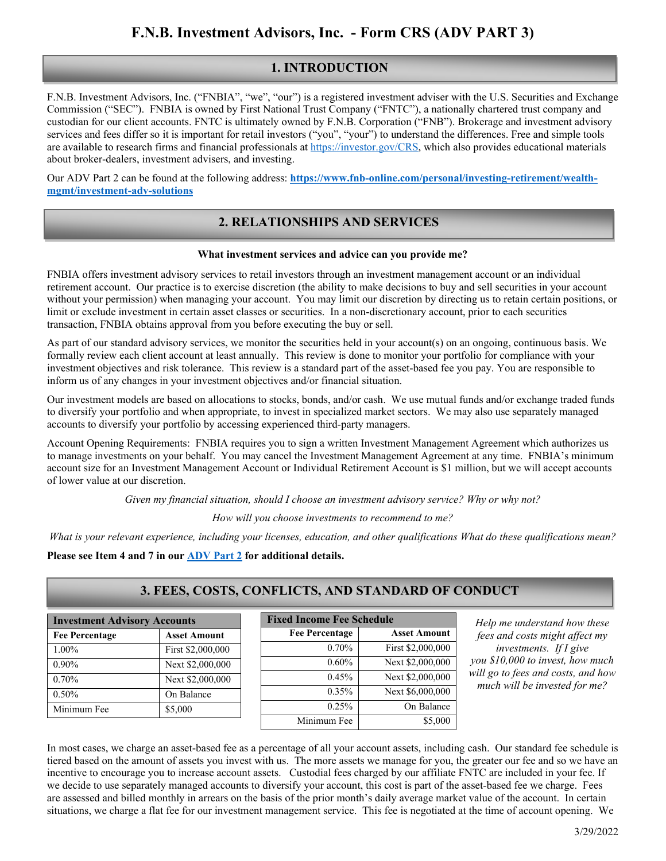## **1. INTRODUCTION**

F.N.B. Investment Advisors, Inc. ("FNBIA", "we", "our") is a registered investment adviser with the U.S. Securities and Exchange Commission ("SEC"). FNBIA is owned by First National Trust Company ("FNTC"), a nationally chartered trust company and custodian for our client accounts. FNTC is ultimately owned by F.N.B. Corporation ("FNB"). Brokerage and investment advisory services and fees differ so it is important for retail investors ("you", "your") to understand the differences. Free and simple tools are available to research firms and financial professionals a[t https://investor.gov/CRS,](https://investor.gov/CRS) which also provides educational materials about broker-dealers, investment advisers, and investing.

Our ADV Part 2 can be found at the following address: **[https://www.fnb-online.com/personal/investing-retirement/wealth](https://www.fnb-online.com/personal/investing-retirement/wealth-mgmt/investment-adv-solutions)[mgmt/investment-adv-solutions](https://www.fnb-online.com/personal/investing-retirement/wealth-mgmt/investment-adv-solutions)**

### **2. RELATIONSHIPS AND SERVICES**

#### **What investment services and advice can you provide me?**

FNBIA offers investment advisory services to retail investors through an investment management account or an individual retirement account. Our practice is to exercise discretion (the ability to make decisions to buy and sell securities in your account without your permission) when managing your account. You may limit our discretion by directing us to retain certain positions, or limit or exclude investment in certain asset classes or securities. In a non-discretionary account, prior to each securities transaction, FNBIA obtains approval from you before executing the buy or sell.

As part of our standard advisory services, we monitor the securities held in your account(s) on an ongoing, continuous basis. We formally review each client account at least annually. This review is done to monitor your portfolio for compliance with your investment objectives and risk tolerance. This review is a standard part of the asset-based fee you pay. You are responsible to inform us of any changes in your investment objectives and/or financial situation.

Our investment models are based on allocations to stocks, bonds, and/or cash. We use mutual funds and/or exchange traded funds to diversify your portfolio and when appropriate, to invest in specialized market sectors. We may also use separately managed accounts to diversify your portfolio by accessing experienced third-party managers.

Account Opening Requirements: FNBIA requires you to sign a written Investment Management Agreement which authorizes us to manage investments on your behalf. You may cancel the Investment Management Agreement at any time. FNBIA's minimum account size for an Investment Management Account or Individual Retirement Account is \$1 million, but we will accept accounts of lower value at our discretion.

*Given my financial situation, should I choose an investment advisory service? Why or why not?*

*How will you choose investments to recommend to me?*

*What is your relevant experience, including your licenses, education, and other qualifications What do these qualifications mean?*

**Please see Item 4 and 7 in our [ADV Part 2](https://www.fnb-online.com/personal/investing-retirement/wealth-mgmt/investment-adv-solutions) for additional details.**

| <b>Investment Advisory Accounts</b> |                     |
|-------------------------------------|---------------------|
| <b>Fee Percentage</b>               | <b>Asset Amount</b> |
| $1.00\%$                            | First \$2,000,000   |
| 0.90%                               | Next \$2,000,000    |
| 0.70%                               | Next \$2,000,000    |
| 0.50%                               | On Balance          |
| Minimum Fee                         | \$5,000             |

## **3. FEES, COSTS, CONFLICTS, AND STANDARD OF CONDUCT**

| <b>Fixed Income Fee Schedule</b> |  |  |
|----------------------------------|--|--|
| <b>Asset Amount</b>              |  |  |
| First \$2,000,000                |  |  |
| Next \$2,000,000                 |  |  |
| Next \$2,000,000                 |  |  |
| Next \$6,000,000                 |  |  |
| On Balance                       |  |  |
| \$5,000                          |  |  |
|                                  |  |  |

*Help me understand how these fees and costs might affect my investments. If I give you \$10,000 to invest, how much will go to fees and costs, and how much will be invested for me?*

In most cases, we charge an asset-based fee as a percentage of all your account assets, including cash. Our standard fee schedule is tiered based on the amount of assets you invest with us. The more assets we manage for you, the greater our fee and so we have an incentive to encourage you to increase account assets. Custodial fees charged by our affiliate FNTC are included in your fee. If we decide to use separately managed accounts to diversify your account, this cost is part of the asset-based fee we charge. Fees are assessed and billed monthly in arrears on the basis of the prior month's daily average market value of the account. In certain situations, we charge a flat fee for our investment management service. This fee is negotiated at the time of account opening. We